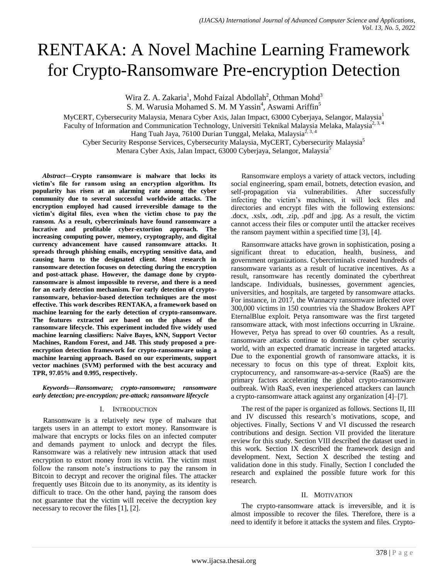# RENTAKA: A Novel Machine Learning Framework for Crypto-Ransomware Pre-encryption Detection

Wira Z. A. Zakaria<sup>1</sup>, Mohd Faizal Abdollah<sup>2</sup>, Othman Mohd<sup>3</sup>

S. M. Warusia Mohamed S. M. M Yassin<sup>4</sup>, Aswami Ariffin<sup>5</sup>

MyCERT, Cybersecurity Malaysia, Menara Cyber Axis, Jalan Impact, 63000 Cyberjaya, Selangor, Malaysia<sup>1</sup> Faculty of Information and Communication Technology, Universiti Teknikal Malaysia Melaka, Malaysia<sup>2, 3, 4</sup> Hang Tuah Jaya, 76100 Durian Tunggal, Melaka, Malaysia2, 3, 4 Cyber Security Response Services, Cybersecurity Malaysia, MyCERT, Cybersecurity Malaysia<sup>5</sup> Menara Cyber Axis, Jalan Impact, 63000 Cyberjaya, Selangor, Malaysia<sup>5</sup>

*Abstract***—Crypto ransomware is malware that locks its victim's file for ransom using an encryption algorithm. Its popularity has risen at an alarming rate among the cyber community due to several successful worldwide attacks. The encryption employed had caused irreversible damage to the victim's digital files, even when the victim chose to pay the ransom. As a result, cybercriminals have found ransomware a lucrative and profitable cyber-extortion approach. The increasing computing power, memory, cryptography, and digital currency advancement have caused ransomware attacks. It spreads through phishing emails, encrypting sensitive data, and causing harm to the designated client. Most research in ransomware detection focuses on detecting during the encryption and post-attack phase. However, the damage done by cryptoransomware is almost impossible to reverse, and there is a need for an early detection mechanism. For early detection of cryptoransomware, behavior-based detection techniques are the most effective. This work describes RENTAKA, a framework based on machine learning for the early detection of crypto-ransomware. The features extracted are based on the phases of the ransomware lifecycle. This experiment included five widely used machine learning classifiers: Naïve Bayes, kNN, Support Vector Machines, Random Forest, and J48. This study proposed a preencryption detection framework for crypto-ransomware using a machine learning approach. Based on our experiments, support vector machines (SVM) performed with the best accuracy and TPR, 97.05% and 0.995, respectively.**

*Keywords—Ransomware; crypto-ransomware; ransomware early detection; pre-encryption; pre-attack; ransomware lifecycle*

#### I. INTRODUCTION

Ransomware is a relatively new type of malware that targets users in an attempt to extort money. Ransomware is malware that encrypts or locks files on an infected computer and demands payment to unlock and decrypt the files. Ransomware was a relatively new intrusion attack that used encryption to extort money from its victim. The victim must follow the ransom note's instructions to pay the ransom in Bitcoin to decrypt and recover the original files. The attacker frequently uses Bitcoin due to its anonymity, as its identity is difficult to trace. On the other hand, paying the ransom does not guarantee that the victim will receive the decryption key necessary to recover the files [1], [2].

Ransomware employs a variety of attack vectors, including social engineering, spam email, botnets, detection evasion, and self-propagation via vulnerabilities. After successfully infecting the victim's machines, it will lock files and directories and encrypt files with the following extensions: .docx, .xslx, .odt, .zip, .pdf and .jpg. As a result, the victim cannot access their files or computer until the attacker receives the ransom payment within a specified time [3], [4].

Ransomware attacks have grown in sophistication, posing a significant threat to education, health, business, and government organizations. Cybercriminals created hundreds of ransomware variants as a result of lucrative incentives. As a result, ransomware has recently dominated the cyberthreat landscape. Individuals, businesses, government agencies, universities, and hospitals, are targeted by ransomware attacks. For instance, in 2017, the Wannacry ransomware infected over 300,000 victims in 150 countries via the Shadow Brokers APT EternalBlue exploit. Petya ransomware was the first targeted ransomware attack, with most infections occurring in Ukraine. However, Petya has spread to over 60 countries. As a result, ransomware attacks continue to dominate the cyber security world, with an expected dramatic increase in targeted attacks. Due to the exponential growth of ransomware attacks, it is necessary to focus on this type of threat. Exploit kits, cryptocurrency, and ransomware-as-a-service (RaaS) are the primary factors accelerating the global crypto-ransomware outbreak. With RaaS, even inexperienced attackers can launch a crypto-ransomware attack against any organization [4]–[7].

The rest of the paper is organized as follows. Sections II, III and IV discussed this research's motivations, scope, and objectives. Finally, Sections V and VI discussed the research contributions and design. Section VII provided the literature review for this study. Section VIII described the dataset used in this work. Section IX described the framework design and development. Next, Section X described the testing and validation done in this study. Finally, Section I concluded the research and explained the possible future work for this research.

#### II. MOTIVATION

The crypto-ransomware attack is irreversible, and it is almost impossible to recover the files. Therefore, there is a need to identify it before it attacks the system and files. Crypto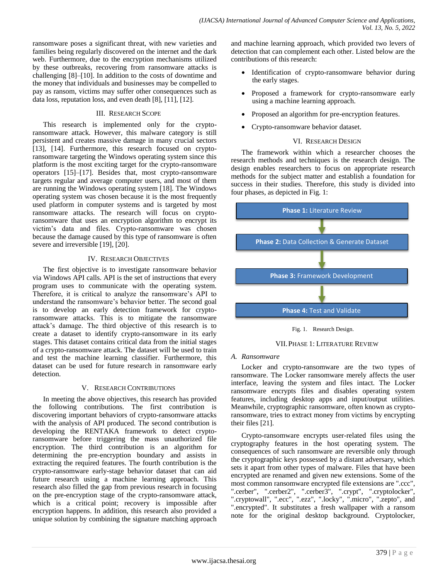ransomware poses a significant threat, with new varieties and families being regularly discovered on the internet and the dark web. Furthermore, due to the encryption mechanisms utilized by these outbreaks, recovering from ransomware attacks is challenging [8]–[10]. In addition to the costs of downtime and the money that individuals and businesses may be compelled to pay as ransom, victims may suffer other consequences such as data loss, reputation loss, and even death [8], [11], [12].

## III. RESEARCH SCOPE

This research is implemented only for the cryptoransomware attack. However, this malware category is still persistent and creates massive damage in many crucial sectors [13], [14]. Furthermore, this research focused on cryptoransomware targeting the Windows operating system since this platform is the most exciting target for the crypto-ransomware operators [15]–[17]. Besides that, most crypto-ransomware targets regular and average computer users, and most of them are running the Windows operating system [18]. The Windows operating system was chosen because it is the most frequently used platform in computer systems and is targeted by most ransomware attacks. The research will focus on cryptoransomware that uses an encryption algorithm to encrypt its victim's data and files. Crypto-ransomware was chosen because the damage caused by this type of ransomware is often severe and irreversible [19], [20].

## IV. RESEARCH OBJECTIVES

The first objective is to investigate ransomware behavior via Windows API calls. API is the set of instructions that every program uses to communicate with the operating system. Therefore, it is critical to analyze the ransomware's API to understand the ransomware's behavior better. The second goal is to develop an early detection framework for cryptoransomware attacks. This is to mitigate the ransomware attack's damage. The third objective of this research is to create a dataset to identify crypto-ransomware in its early stages. This dataset contains critical data from the initial stages of a crypto-ransomware attack. The dataset will be used to train and test the machine learning classifier. Furthermore, this dataset can be used for future research in ransomware early detection.

#### V. RESEARCH CONTRIBUTIONS

In meeting the above objectives, this research has provided the following contributions. The first contribution is discovering important behaviors of crypto-ransomware attacks with the analysis of API produced. The second contribution is developing the RENTAKA framework to detect cryptoransomware before triggering the mass unauthorized file encryption. The third contribution is an algorithm for determining the pre-encryption boundary and assists in extracting the required features. The fourth contribution is the crypto-ransomware early-stage behavior dataset that can aid future research using a machine learning approach. This research also filled the gap from previous research in focusing on the pre-encryption stage of the crypto-ransomware attack, which is a critical point; recovery is impossible after encryption happens. In addition, this research also provided a unique solution by combining the signature matching approach

and machine learning approach, which provided two levers of detection that can complement each other. Listed below are the contributions of this research:

- Identification of crypto-ransomware behavior during the early stages.
- Proposed a framework for crypto-ransomware early using a machine learning approach.
- Proposed an algorithm for pre-encryption features.
- Crypto-ransomware behavior dataset.

#### VI. RESEARCH DESIGN

The framework within which a researcher chooses the research methods and techniques is the research design. The design enables researchers to focus on appropriate research methods for the subject matter and establish a foundation for success in their studies. Therefore, this study is divided into four phases, as depicted in Fig. 1:



Fig. 1. Research Design.



#### *A. Ransomware*

Locker and crypto-ransomware are the two types of ransomware. The Locker ransomware merely affects the user interface, leaving the system and files intact. The Locker ransomware encrypts files and disables operating system features, including desktop apps and input/output utilities. Meanwhile, cryptographic ransomware, often known as cryptoransomware, tries to extract money from victims by encrypting their files [21].

Crypto-ransomware encrypts user-related files using the cryptography features in the host operating system. The consequences of such ransomware are reversible only through the cryptographic keys possessed by a distant adversary, which sets it apart from other types of malware. Files that have been encrypted are renamed and given new extensions. Some of the most common ransomware encrypted file extensions are ".ccc", ".cerber", ".cerber2", ".cerber3", ".crypt", ".cryptolocker", ".cryptowall", ".ecc", ".ezz", ".locky", ".micro", ".zepto", and ".encrypted". It substitutes a fresh wallpaper with a ransom note for the original desktop background. Cryptolocker,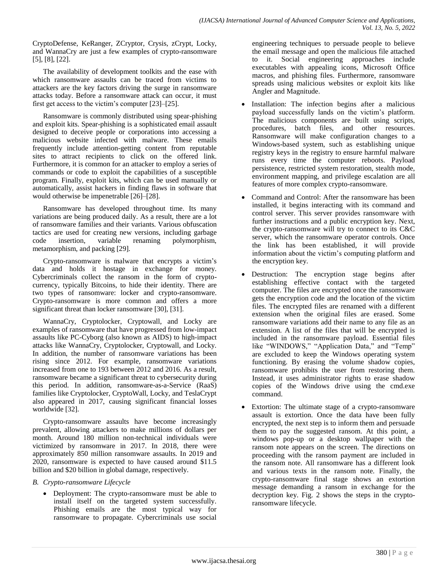CryptoDefense, KeRanger, ZCryptor, Crysis, zCrypt, Locky, and WannaCry are just a few examples of crypto-ransomware [5], [8], [22].

The availability of development toolkits and the ease with which ransomware assaults can be traced from victims to attackers are the key factors driving the surge in ransomware attacks today. Before a ransomware attack can occur, it must first get access to the victim's computer [23]–[25].

Ransomware is commonly distributed using spear-phishing and exploit kits. Spear-phishing is a sophisticated email assault designed to deceive people or corporations into accessing a malicious website infected with malware. These emails frequently include attention-getting content from reputable sites to attract recipients to click on the offered link. Furthermore, it is common for an attacker to employ a series of commands or code to exploit the capabilities of a susceptible program. Finally, exploit kits, which can be used manually or automatically, assist hackers in finding flaws in software that would otherwise be impenetrable [26]–[28].

Ransomware has developed throughout time. Its many variations are being produced daily. As a result, there are a lot of ransomware families and their variants. Various obfuscation tactics are used for creating new versions, including garbage code insertion, variable renaming polymorphism, code insertion, variable renaming polymorphism, metamorphism, and packing [29].

Crypto-ransomware is malware that encrypts a victim's data and holds it hostage in exchange for money. Cybercriminals collect the ransom in the form of cryptocurrency, typically Bitcoins, to hide their identity. There are two types of ransomware: locker and crypto-ransomware. Crypto-ransomware is more common and offers a more significant threat than locker ransomware [30], [31].

WannaCry, Cryptolocker, Cryptowall, and Locky are examples of ransomware that have progressed from low-impact assaults like PC-Cyborg (also known as AIDS) to high-impact attacks like WannaCry, Cryptolocker, Cryptowall, and Locky. In addition, the number of ransomware variations has been rising since 2012. For example, ransomware variations increased from one to 193 between 2012 and 2016. As a result, ransomware became a significant threat to cybersecurity during this period. In addition, ransomware-as-a-Service (RaaS) families like Cryptolocker, CryptoWall, Locky, and TeslaCrypt also appeared in 2017, causing significant financial losses worldwide [32].

Crypto-ransomware assaults have become increasingly prevalent, allowing attackers to make millions of dollars per month. Around 180 million non-technical individuals were victimized by ransomware in 2017. In 2018, there were approximately 850 million ransomware assaults. In 2019 and 2020, ransomware is expected to have caused around \$11.5 billion and \$20 billion in global damage, respectively.

# *B. Crypto-ransomware Lifecycle*

 Deployment: The crypto-ransomware must be able to install itself on the targeted system successfully. Phishing emails are the most typical way for ransomware to propagate. Cybercriminals use social engineering techniques to persuade people to believe the email message and open the malicious file attached to it. Social engineering approaches include executables with appealing icons, Microsoft Office macros, and phishing files. Furthermore, ransomware spreads using malicious websites or exploit kits like Angler and Magnitude.

- Installation: The infection begins after a malicious payload successfully lands on the victim's platform. The malicious components are built using scripts, procedures, batch files, and other resources. Ransomware will make configuration changes to a Windows-based system, such as establishing unique registry keys in the registry to ensure harmful malware runs every time the computer reboots. Payload persistence, restricted system restoration, stealth mode, environment mapping, and privilege escalation are all features of more complex crypto-ransomware.
- Command and Control: After the ransomware has been installed, it begins interacting with its command and control server. This server provides ransomware with further instructions and a public encryption key. Next, the crypto-ransomware will try to connect to its C&C server, which the ransomware operator controls. Once the link has been established, it will provide information about the victim's computing platform and the encryption key.
- Destruction: The encryption stage begins after establishing effective contact with the targeted computer. The files are encrypted once the ransomware gets the encryption code and the location of the victim files. The encrypted files are renamed with a different extension when the original files are erased. Some ransomware variations add their name to any file as an extension. A list of the files that will be encrypted is included in the ransomware payload. Essential files like "WINDOWS," "Application Data," and "Temp" are excluded to keep the Windows operating system functioning. By erasing the volume shadow copies, ransomware prohibits the user from restoring them. Instead, it uses administrator rights to erase shadow copies of the Windows drive using the cmd.exe command.
- Extortion: The ultimate stage of a crypto-ransomware assault is extortion. Once the data have been fully encrypted, the next step is to inform them and persuade them to pay the suggested ransom. At this point, a windows pop-up or a desktop wallpaper with the ransom note appears on the screen. The directions on proceeding with the ransom payment are included in the ransom note. All ransomware has a different look and various texts in the ransom note. Finally, the crypto-ransomware final stage shows an extortion message demanding a ransom in exchange for the decryption key. Fig. 2 shows the steps in the cryptoransomware lifecycle.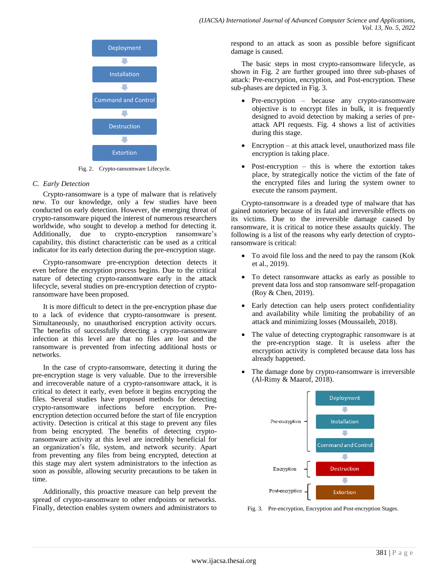

Fig. 2. Crypto-ransomware Lifecycle.

## *C. Early Detection*

Crypto-ransomware is a type of malware that is relatively new. To our knowledge, only a few studies have been conducted on early detection. However, the emerging threat of crypto-ransomware piqued the interest of numerous researchers worldwide, who sought to develop a method for detecting it. Additionally, due to crypto-encryption ransomware's capability, this distinct characteristic can be used as a critical indicator for its early detection during the pre-encryption stage.

Crypto-ransomware pre-encryption detection detects it even before the encryption process begins. Due to the critical nature of detecting crypto-ransomware early in the attack lifecycle, several studies on pre-encryption detection of cryptoransomware have been proposed.

It is more difficult to detect in the pre-encryption phase due to a lack of evidence that crypto-ransomware is present. Simultaneously, no unauthorised encryption activity occurs. The benefits of successfully detecting a crypto-ransomware infection at this level are that no files are lost and the ransomware is prevented from infecting additional hosts or networks.

In the case of crypto-ransomware, detecting it during the pre-encryption stage is very valuable. Due to the irreversible and irrecoverable nature of a crypto-ransomware attack, it is critical to detect it early, even before it begins encrypting the files. Several studies have proposed methods for detecting crypto-ransomware infections before encryption. Preencryption detection occurred before the start of file encryption activity. Detection is critical at this stage to prevent any files from being encrypted. The benefits of detecting cryptoransomware activity at this level are incredibly beneficial for an organization's file, system, and network security. Apart from preventing any files from being encrypted, detection at this stage may alert system administrators to the infection as soon as possible, allowing security precautions to be taken in time.

Additionally, this proactive measure can help prevent the spread of crypto-ransomware to other endpoints or networks. Finally, detection enables system owners and administrators to respond to an attack as soon as possible before significant damage is caused.

The basic steps in most crypto-ransomware lifecycle, as shown in Fig. 2 are further grouped into three sub-phases of attack: Pre-encryption, encryption, and Post-encryption. These sub-phases are depicted in Fig. 3.

- Pre-encryption because any crypto-ransomware objective is to encrypt files in bulk, it is frequently designed to avoid detection by making a series of preattack API requests. Fig. 4 shows a list of activities during this stage.
- Encryption at this attack level, unauthorized mass file encryption is taking place.
- Post-encryption this is where the extortion takes place, by strategically notice the victim of the fate of the encrypted files and luring the system owner to execute the ransom payment.

Crypto-ransomware is a dreaded type of malware that has gained notoriety because of its fatal and irreversible effects on its victims. Due to the irreversible damage caused by ransomware, it is critical to notice these assaults quickly. The following is a list of the reasons why early detection of cryptoransomware is critical:

- To avoid file loss and the need to pay the ransom (Kok et al., 2019).
- To detect ransomware attacks as early as possible to prevent data loss and stop ransomware self-propagation (Roy & Chen, 2019).
- Early detection can help users protect confidentiality and availability while limiting the probability of an attack and minimizing losses (Moussaileb, 2018).
- The value of detecting cryptographic ransomware is at the pre-encryption stage. It is useless after the encryption activity is completed because data loss has already happened.
- The damage done by crypto-ransomware is irreversible (Al-Rimy & Maarof, 2018).



Fig. 3. Pre-encryption, Encryption and Post-encryption Stages.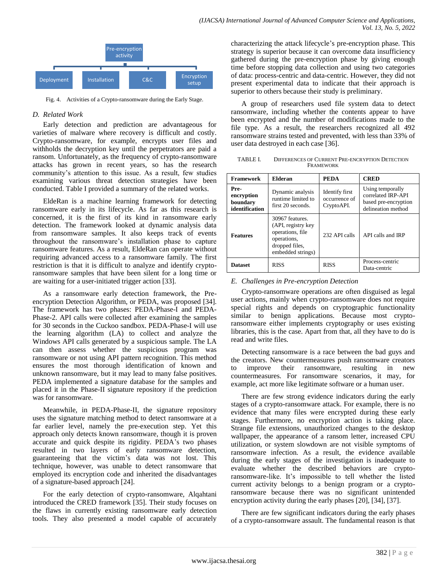

Fig. 4. Activities of a Crypto-ransomware during the Early Stage.

#### *D. Related Work*

Early detection and prediction are advantageous for varieties of malware where recovery is difficult and costly. Crypto-ransomware, for example, encrypts user files and withholds the decryption key until the perpetrators are paid a ransom. Unfortunately, as the frequency of crypto-ransomware attacks has grown in recent years, so has the research community's attention to this issue. As a result, few studies examining various threat detection strategies have been conducted. Table I provided a summary of the related works.

EldeRan is a machine learning framework for detecting ransomware early in its lifecycle. As far as this research is concerned, it is the first of its kind in ransomware early detection. The framework looked at dynamic analysis data from ransomware samples. It also keeps track of events throughout the ransomware's installation phase to capture ransomware features. As a result, EldeRan can operate without requiring advanced access to a ransomware family. The first restriction is that it is difficult to analyze and identify cryptoransomware samples that have been silent for a long time or are waiting for a user-initiated trigger action [33].

As a ransomware early detection framework, the Preencryption Detection Algorithm, or PEDA, was proposed [34]. The framework has two phases: PEDA-Phase-I and PEDA-Phase-2. API calls were collected after examining the samples for 30 seconds in the Cuckoo sandbox. PEDA-Phase-I will use the learning algorithm (LA) to collect and analyze the Windows API calls generated by a suspicious sample. The LA can then assess whether the suspicious program was ransomware or not using API pattern recognition. This method ensures the most thorough identification of known and unknown ransomware, but it may lead to many false positives. PEDA implemented a signature database for the samples and placed it in the Phase-II signature repository if the prediction was for ransomware.

Meanwhile, in PEDA-Phase-II, the signature repository uses the signature matching method to detect ransomware at a far earlier level, namely the pre-execution step. Yet this approach only detects known ransomware, though it is proven accurate and quick despite its rigidity. PEDA's two phases resulted in two layers of early ransomware detection, guaranteeing that the victim's data was not lost. This technique, however, was unable to detect ransomware that employed its encryption code and inherited the disadvantages of a signature-based approach [24].

For the early detection of crypto-ransomware, Alqahtani introduced the CRED framework [35]. Their study focuses on the flaws in currently existing ransomware early detection tools. They also presented a model capable of accurately characterizing the attack lifecycle's pre-encryption phase. This strategy is superior because it can overcome data insufficiency gathered during the pre-encryption phase by giving enough time before stopping data collection and using two categories of data: process-centric and data-centric. However, they did not present experimental data to indicate that their approach is superior to others because their study is preliminary.

A group of researchers used file system data to detect ransomware, including whether the contents appear to have been encrypted and the number of modifications made to the file type. As a result, the researchers recognized all 492 ransomware strains tested and prevented, with less than 33% of user data destroyed in each case [36].

TABLE I. DIFFERENCES OF CURRENT PRE-ENCRYPTION DETECTION FRAMEWORK

| <b>Framework</b>                                 | <b>Elderan</b>                                                                                                  | <b>PEDA</b>                                          | <b>CRED</b>                                                                          |
|--------------------------------------------------|-----------------------------------------------------------------------------------------------------------------|------------------------------------------------------|--------------------------------------------------------------------------------------|
| Pre-<br>encryption<br>boundary<br>identification | Dynamic analysis<br>runtime limited to<br>first 20 seconds.                                                     | <b>Identify</b> first<br>occurrence of<br>CryptoAPI. | Using temporally<br>correlated IRP-API<br>based pre-encryption<br>delineation method |
| <b>Features</b>                                  | 30967 features.<br>(API, registry key<br>operations, file<br>operations,<br>dropped files,<br>embedded strings) | 232 API calls                                        | API calls and IRP                                                                    |
| <b>Dataset</b>                                   | <b>RISS</b>                                                                                                     | <b>RISS</b>                                          | Process-centric<br>Data-centric                                                      |

#### *E. Challenges in Pre-encryption Detection*

Crypto-ransomware operations are often disguised as legal user actions, mainly when crypto-ransomware does not require special rights and depends on cryptographic functionality similar to benign applications. Because most cryptoransomware either implements cryptography or uses existing libraries, this is the case. Apart from that, all they have to do is read and write files.

Detecting ransomware is a race between the bad guys and the creators. New countermeasures push ransomware creators to improve their ransomware, resulting in new countermeasures. For ransomware scenarios, it may, for example, act more like legitimate software or a human user.

There are few strong evidence indicators during the early stages of a crypto-ransomware attack. For example, there is no evidence that many files were encrypted during these early stages. Furthermore, no encryption action is taking place. Strange file extensions, unauthorized changes to the desktop wallpaper, the appearance of a ransom letter, increased CPU utilization, or system slowdown are not visible symptoms of ransomware infection. As a result, the evidence available during the early stages of the investigation is inadequate to evaluate whether the described behaviors are cryptoransomware-like. It's impossible to tell whether the listed current activity belongs to a benign program or a cryptoransomware because there was no significant unintended encryption activity during the early phases [20], [34], [37].

There are few significant indicators during the early phases of a crypto-ransomware assault. The fundamental reason is that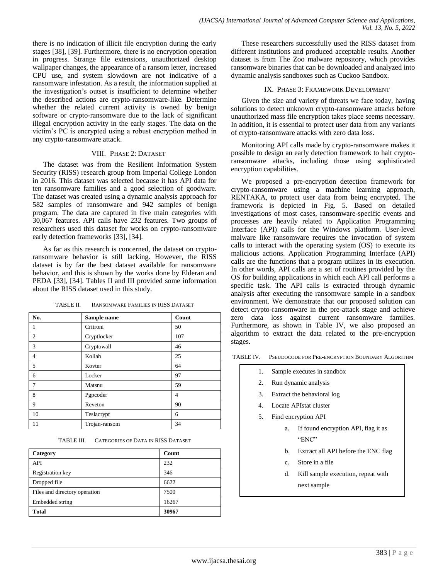there is no indication of illicit file encryption during the early stages [38], [39]. Furthermore, there is no encryption operation in progress. Strange file extensions, unauthorized desktop wallpaper changes, the appearance of a ransom letter, increased CPU use, and system slowdown are not indicative of a ransomware infestation. As a result, the information supplied at the investigation's outset is insufficient to determine whether the described actions are crypto-ransomware-like. Determine whether the related current activity is owned by benign software or crypto-ransomware due to the lack of significant illegal encryption activity in the early stages. The data on the victim's PC is encrypted using a robust encryption method in any crypto-ransomware attack.

## VIII. PHASE 2: DATASET

The dataset was from the Resilient Information System Security (RISS) research group from Imperial College London in 2016. This dataset was selected because it has API data for ten ransomware families and a good selection of goodware. The dataset was created using a dynamic analysis approach for 582 samples of ransomware and 942 samples of benign program. The data are captured in five main categories with 30,067 features. API calls have 232 features. Two groups of researchers used this dataset for works on crypto-ransomware early detection frameworks [33], [34].

As far as this research is concerned, the dataset on cryptoransomware behavior is still lacking. However, the RISS dataset is by far the best dataset available for ransomware behavior, and this is shown by the works done by Elderan and PEDA [33], [34]. Tables II and III provided some information about the RISS dataset used in this study.

| No.            | Sample name   | Count |
|----------------|---------------|-------|
| 1              | Critroni      | 50    |
| $\overline{2}$ | Cryptlocker   | 107   |
| 3              | Cryptowall    | 46    |
| 4              | Kollah        | 25    |
| 5              | Kovter        | 64    |
| 6              | Locker        | 97    |
| 7              | Matsnu        | 59    |
| 8              | Pgpcoder      | 4     |
| 9              | Reveton       | 90    |
| 10             | Teslacrypt    | 6     |
| 11             | Trojan-ransom | 34    |

TABLE II. RANSOMWARE FAMILIES IN RISS DATASET

TABLE III. CATEGORIES OF DATA IN RISS DATASET

| Category                      | Count |
|-------------------------------|-------|
| API                           | 232   |
| Registration key              | 346   |
| Dropped file                  | 6622  |
| Files and directory operation | 7500  |
| Embedded string               | 16267 |
| Total                         | 30967 |

These researchers successfully used the RISS dataset from different institutions and produced acceptable results. Another dataset is from The Zoo malware repository, which provides ransomware binaries that can be downloaded and analyzed into dynamic analysis sandboxes such as Cuckoo Sandbox.

#### IX. PHASE 3: FRAMEWORK DEVELOPMENT

Given the size and variety of threats we face today, having solutions to detect unknown crypto-ransomware attacks before unauthorized mass file encryption takes place seems necessary. In addition, it is essential to protect user data from any variants of crypto-ransomware attacks with zero data loss.

Monitoring API calls made by crypto-ransomware makes it possible to design an early detection framework to halt cryptoransomware attacks, including those using sophisticated encryption capabilities.

We proposed a pre-encryption detection framework for crypto-ransomware using a machine learning approach, RENTAKA, to protect user data from being encrypted. The framework is depicted in Fig. 5. Based on detailed investigations of most cases, ransomware-specific events and processes are heavily related to Application Programming Interface (API) calls for the Windows platform. User-level malware like ransomware requires the invocation of system calls to interact with the operating system (OS) to execute its malicious actions. Application Programming Interface (API) calls are the functions that a program utilizes in its execution. In other words, API calls are a set of routines provided by the OS for building applications in which each API call performs a specific task. The API calls is extracted through dynamic analysis after executing the ransomware sample in a sandbox environment. We demonstrate that our proposed solution can detect crypto-ransomware in the pre-attack stage and achieve zero data loss against current ransomware families. Furthermore, as shown in Table IV, we also proposed an algorithm to extract the data related to the pre-encryption stages.

TABLE IV. PSEUDOCODE FOR PRE-ENCRYPTION BOUNDARY ALGORITHM

- 1. Sample executes in sandbox
- 2. Run dynamic analysis
- 3. Extract the behavioral log
- 4. Locate APIstat cluster
- 5. Find encryption API
	- a. If found encryption API, flag it as "ENC"
	- b. Extract all API before the ENC flag
	- c. Store in a file
	- d. Kill sample execution, repeat with next sample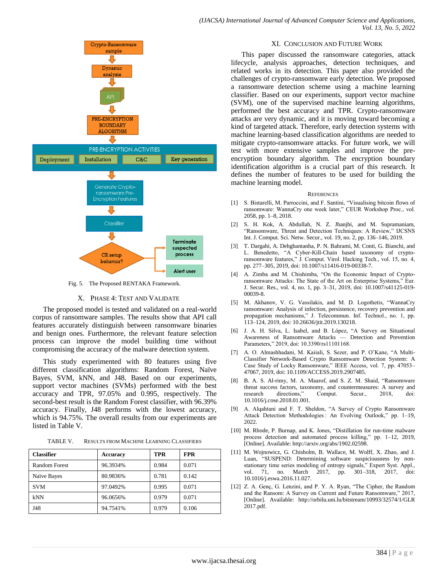

Fig. 5. The Proposed RENTAKA Framework.

#### X. PHASE 4: TEST AND VALIDATE

The proposed model is tested and validated on a real-world corpus of ransomware samples. The results show that API call features accurately distinguish between ransomware binaries and benign ones. Furthermore, the relevant feature selection process can improve the model building time without compromising the accuracy of the malware detection system.

This study experimented with 80 features using five different classification algorithms: Random Forest, Naïve Bayes, SVM, kNN, and J48. Based on our experiments, support vector machines (SVMs) performed with the best accuracy and TPR, 97.05% and 0.995, respectively. The second-best result is the Random Forest classifier, with 96.39% accuracy. Finally, J48 performs with the lowest accuracy, which is 94.75%. The overall results from our experiments are listed in Table V.

| TABLE V. | <b>RESULTS FROM MACHINE LEARNING CLASSIFIERS</b> |
|----------|--------------------------------------------------|
|----------|--------------------------------------------------|

| <b>Classifier</b> | <b>Accuracy</b> | <b>TPR</b> | <b>FPR</b> |
|-------------------|-----------------|------------|------------|
| Random Forest     | 96.3934%        | 0.984      | 0.071      |
| Naïve Bayes       | 80.9836%        | 0.781      | 0.142      |
| <b>SVM</b>        | 97.0492%        | 0.995      | 0.071      |
| kNN               | 96.0656%        | 0.979      | 0.071      |
| J48               | 94.7541%        | 0.979      | 0.106      |

#### XI. CONCLUSION AND FUTURE WORK

This paper discussed the ransomware categories, attack lifecycle, analysis approaches, detection techniques, and related works in its detection. This paper also provided the challenges of crypto-ransomware early detection. We proposed a ransomware detection scheme using a machine learning classifier. Based on our experiments, support vector machine (SVM), one of the supervised machine learning algorithms, performed the best accuracy and TPR. Crypto-ransomware attacks are very dynamic, and it is moving toward becoming a kind of targeted attack. Therefore, early detection systems with machine learning-based classification algorithms are needed to mitigate crypto-ransomware attacks. For future work, we will test with more extensive samples and improve the preencryption boundary algorithm. The encryption boundary identification algorithm is a crucial part of this research. It defines the number of features to be used for building the machine learning model.

#### REFERENCES

- [1] S. Bistarelli, M. Parroccini, and F. Santini, "Visualising bitcoin flows of ransomware: WannaCry one week later," CEUR Workshop Proc., vol. 2058, pp. 1–8, 2018.
- [2] S. H. Kok, A. Abdullah, N. Z. Jhanjhi, and M. Supramaniam, "Ransomware, Threat and Detection Techniques: A Review," IJCSNS Int. J. Comput. Sci. Netw. Secur., vol. 19, no. 2, pp. 136–146, 2019.
- [3] T. Dargahi, A. Dehghantanha, P. N. Bahrami, M. Conti, G. Bianchi, and L. Benedetto, "A Cyber-Kill-Chain based taxonomy of cryptoransomware features," J. Comput. Virol. Hacking Tech., vol. 15, no. 4, pp. 277–305, 2019, doi: 10.1007/s11416-019-00338-7.
- [4] A. Zimba and M. Chishimba, "On the Economic Impact of Cryptoransomware Attacks: The State of the Art on Enterprise Systems," Eur. J. Secur. Res., vol. 4, no. 1, pp. 3–31, 2019, doi: 10.1007/s41125-019- 00039-8.
- [5] M. Akbanov, V. G. Vassilakis, and M. D. Logothetis, "WannaCry ransomware: Analysis of infection, persistence, recovery prevention and propagation mechanisms," J. Telecommun. Inf. Technol., no. 1, pp. 113–124, 2019, doi: 10.26636/jtit.2019.130218.
- [6] J. A. H. Silva, L. Isabel, and B. López, "A Survey on Situational Awareness of Ransomware Attacks — Detection and Prevention Parameters," 2019, doi: 10.3390/rs11101168.
- [7] A. O. Almashhadani, M. Kaiiali, S. Sezer, and P. O'Kane, "A Multi-Classifier Network-Based Crypto Ransomware Detection System: A Case Study of Locky Ransomware," IEEE Access, vol. 7, pp. 47053-47067, 2019, doi: 10.1109/ACCESS.2019.2907485.
- [8] B. A. S. Al-rimy, M. A. Maarof, and S. Z. M. Shaid, "Ransomware threat success factors, taxonomy, and countermeasures: A survey and research directions," Comput. Secur., 2018, doi: 10.1016/j.cose.2018.01.001.
- [9] A. Alqahtani and F. T. Sheldon, "A Survey of Crypto Ransomware Attack Detection Methodologies : An Evolving Outlook," pp. 1-19, 2022.
- [10] M. Rhode, P. Burnap, and K. Jones, "Distillation for run-time malware process detection and automated process killing," pp. 1-12, 2019, [Online]. Available: http://arxiv.org/abs/1902.02598.
- [11] M. Wojnowicz, G. Chisholm, B. Wallace, M. Wolff, X. Zhao, and J. Luan, "SUSPEND: Determining software suspiciousness by nonstationary time series modeling of entropy signals," Expert Syst. Appl., vol. 71, no. March 2017, pp. 301–318, 2017, doi: 10.1016/j.eswa.2016.11.027.
- [12] Z. A. Genç, G. Lenzini, and P. Y. A. Ryan, "The Cipher, the Random and the Ransom: A Survey on Current and Future Ransomware," 2017, [Online]. Available: http://orbilu.uni.lu/bitstream/10993/32574/1/GLR 2017.pdf.